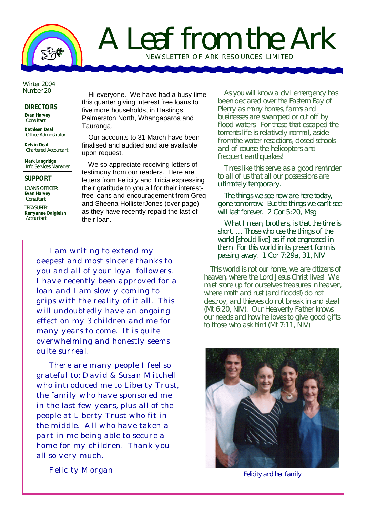

## A Leaf from the Ark NEWSLETTER OF ARK RE SOURCES LIMITED

Winter 2004 Number 20

## **DIRECTORS Evan Harvey**

**Consultant** 

**Kathleen Deal** Office Administrator

**Kelvin Deal** Chartered Accountant

**Mark Langridge** Info Services Manager

## **SUPPORT**

LOANS OFFICER: **Evan Harvey Consultant** 

TREASURER: **Kerryanne Dalgleish Accountant** 

Hi everyone. We have had a busy time this quarter giving interest free loans to five more households, in Hastings, Palmerston North, Whangaparoa and Tauranga.

Our accounts to 31 March have been finalised and audited and are available upon request.

We so appreciate receiving letters of testimony from our readers. Here are letters from Felicity and Tricia expressing their gratitude to you all for their interestfree loans and encouragement from Greg and Sheena HollisterJones (over page) as they have recently repaid the last of their loan.

I am writing to extend my deepest and most sincere thanks to you and all of your loyal followers. I have recently been approved for a loan and I am slowly coming to grips with the reality of it all. This will undoubtedly have an ongoing effect on my 3 children and me for many years to come. It is quite overwhelming and honestly seems quite surreal.

There are many people I feel so grateful to: David & Susan Mitchell who introduced me to Liberty Trust, the family who have sponsored me in the last few years, plus all of the people at Liberty Trust who fit in the middle. All who have taken a part in me being able to secure a home for my children. Thank you all so very much.

Felicity Morgan

As you will know a civil emergency has been declared over the Eastern Bay of Plenty as many homes, farms and businesses are swamped or cut off by flood waters. For those that escaped the torrents life is relatively normal, aside from the water restictions, closed schools and of course the helicopters and frequent earthquakes!

Times like this serve as a good reminder to all of us that *all* our possessions are ultimately temporary.

*The things we see now are here today, gone tomorrow. But the things we can't see will last forever. 2 Cor 5:20, Msg*

*What I mean, brothers, is that the time is short. … Those who use the things of the world [should live] as if not engrossed in them. For this world in its present form is passing away.* 1 Cor 7:29a, 31, NIV

This world is not our home, we are citizens of heaven, where the Lord Jesus Christ lives! We must store up for ourselves treasures in heaven, where moth and rust (and floods!) do not destroy, and thieves do not break in and steal (Mt 6:20, NIV). Our Heavenly Father knows our needs and how he loves to give good gifts to those who ask him! (Mt 7:11, NIV)



*Felicity and her family*